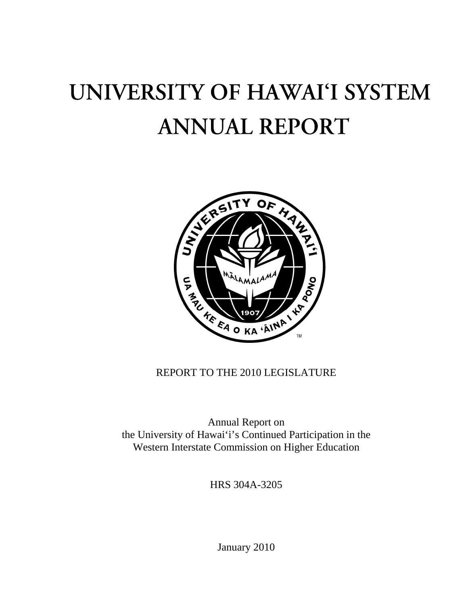# UNIVERSITY OF HAWAI'I SYSTEM **ANNUAL REPORT**



# REPORT TO THE 2010 LEGISLATURE

Annual Report on the University of Hawai'i's Continued Participation in the Western Interstate Commission on Higher Education

HRS 304A-3205

January 2010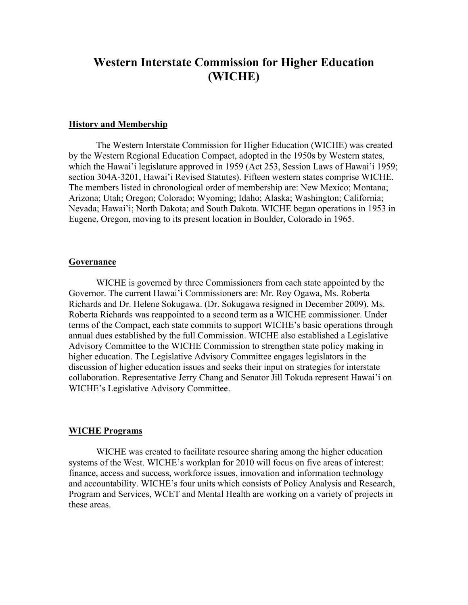# **Western Interstate Commission for Higher Education (WICHE)**

#### **History and Membership**

The Western Interstate Commission for Higher Education (WICHE) was created by the Western Regional Education Compact, adopted in the 1950s by Western states, which the Hawai'i legislature approved in 1959 (Act 253, Session Laws of Hawai'i 1959; section 304A-3201, Hawai'i Revised Statutes). Fifteen western states comprise WICHE. The members listed in chronological order of membership are: New Mexico; Montana; Arizona; Utah; Oregon; Colorado; Wyoming; Idaho; Alaska; Washington; California; Nevada; Hawai'i; North Dakota; and South Dakota. WICHE began operations in 1953 in Eugene, Oregon, moving to its present location in Boulder, Colorado in 1965.

#### **Governance**

WICHE is governed by three Commissioners from each state appointed by the Governor. The current Hawai'i Commissioners are: Mr. Roy Ogawa, Ms. Roberta Richards and Dr. Helene Sokugawa. (Dr. Sokugawa resigned in December 2009). Ms. Roberta Richards was reappointed to a second term as a WICHE commissioner. Under terms of the Compact, each state commits to support WICHE's basic operations through annual dues established by the full Commission. WICHE also established a Legislative Advisory Committee to the WICHE Commission to strengthen state policy making in higher education. The Legislative Advisory Committee engages legislators in the discussion of higher education issues and seeks their input on strategies for interstate collaboration. Representative Jerry Chang and Senator Jill Tokuda represent Hawai'i on WICHE's Legislative Advisory Committee.

#### **WICHE Programs**

WICHE was created to facilitate resource sharing among the higher education systems of the West. WICHE's workplan for 2010 will focus on five areas of interest: finance, access and success, workforce issues, innovation and information technology and accountability. WICHE's four units which consists of Policy Analysis and Research, Program and Services, WCET and Mental Health are working on a variety of projects in these areas.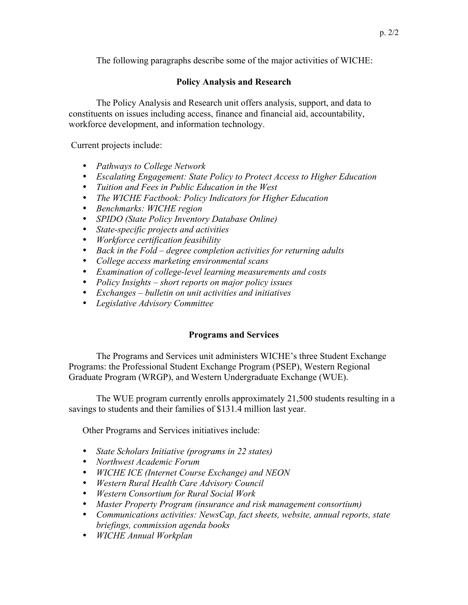The following paragraphs describe some of the major activities of WICHE:

# **Policy Analysis and Research**

The Policy Analysis and Research unit offers analysis, support, and data to constituents on issues including access, finance and financial aid, accountability, workforce development, and information technology.

Current projects include:

- *Pathways to College Network*
- *Escalating Engagement: State Policy to Protect Access to Higher Education*
- *Tuition and Fees in Public Education in the West*
- *The WICHE Factbook: Policy Indicators for Higher Education*
- *Benchmarks: WICHE region*
- *SPIDO (State Policy Inventory Database Online)*
- *State-specific projects and activities*
- *Workforce certification feasibility*
- *Back in the Fold degree completion activities for returning adults*
- *College access marketing environmental scans*
- *Examination of college-level learning measurements and costs*
- *Policy Insights short reports on major policy issues*
- *Exchanges bulletin on unit activities and initiatives*
- *Legislative Advisory Committee*

## **Programs and Services**

The Programs and Services unit administers WICHE's three Student Exchange Programs: the Professional Student Exchange Program (PSEP), Western Regional Graduate Program (WRGP), and Western Undergraduate Exchange (WUE).

The WUE program currently enrolls approximately 21,500 students resulting in a savings to students and their families of \$131.4 million last year.

Other Programs and Services initiatives include:

- *State Scholars Initiative (programs in 22 states)*
- *Northwest Academic Forum*
- *WICHE ICE (Internet Course Exchange) and NEON*
- *Western Rural Health Care Advisory Council*
- *Western Consortium for Rural Social Work*
- *Master Property Program (insurance and risk management consortium)*
- *Communications activities: NewsCap, fact sheets, website, annual reports, state briefings, commission agenda books*
- *WICHE Annual Workplan*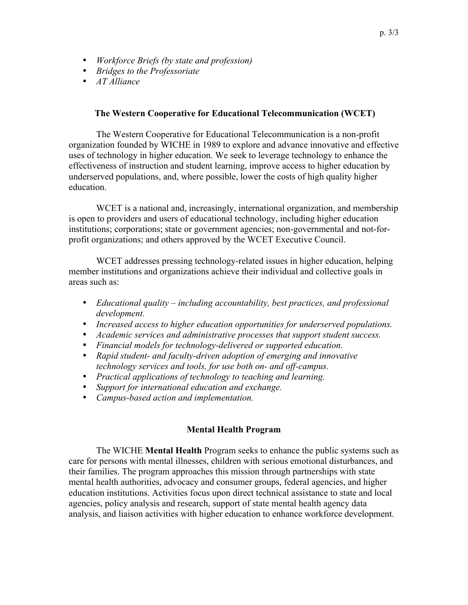- *Workforce Briefs (by state and profession)*
- *Bridges to the Professoriate*
- *AT Alliance*

#### **The Western Cooperative for Educational Telecommunication (WCET)**

The Western Cooperative for Educational Telecommunication is a non-profit organization founded by WICHE in 1989 to explore and advance innovative and effective uses of technology in higher education. We seek to leverage technology to enhance the effectiveness of instruction and student learning, improve access to higher education by underserved populations, and, where possible, lower the costs of high quality higher education.

WCET is a national and, increasingly, international organization, and membership is open to providers and users of educational technology, including higher education institutions; corporations; state or government agencies; non-governmental and not-forprofit organizations; and others approved by the WCET Executive Council.

WCET addresses pressing technology-related issues in higher education, helping member institutions and organizations achieve their individual and collective goals in areas such as:

- *Educational quality including accountability, best practices, and professional development.*
- *Increased access to higher education opportunities for underserved populations.*
- *Academic services and administrative processes that support student success.*
- *Financial models for technology-delivered or supported education.*
- *Rapid student- and faculty-driven adoption of emerging and innovative technology services and tools, for use both on- and off-campus.*
- *Practical applications of technology to teaching and learning.*
- *Support for international education and exchange.*
- *Campus-based action and implementation.*

## **Mental Health Program**

The WICHE **Mental Health** Program seeks to enhance the public systems such as care for persons with mental illnesses, children with serious emotional disturbances, and their families. The program approaches this mission through partnerships with state mental health authorities, advocacy and consumer groups, federal agencies, and higher education institutions. Activities focus upon direct technical assistance to state and local agencies, policy analysis and research, support of state mental health agency data analysis, and liaison activities with higher education to enhance workforce development.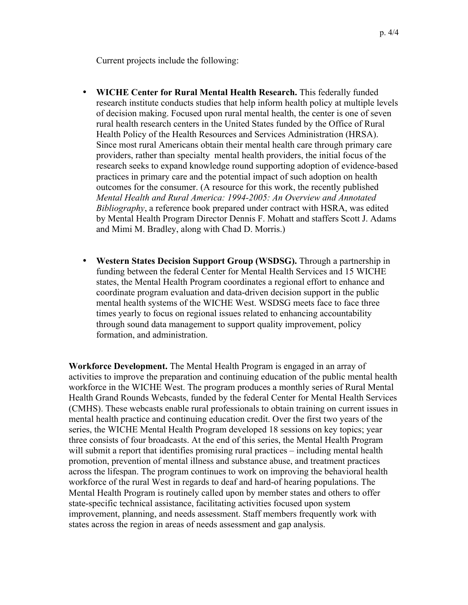Current projects include the following:

- **WICHE Center for Rural Mental Health Research.** This federally funded research institute conducts studies that help inform health policy at multiple levels of decision making. Focused upon rural mental health, the center is one of seven rural health research centers in the United States funded by the Office of Rural Health Policy of the Health Resources and Services Administration (HRSA). Since most rural Americans obtain their mental health care through primary care providers, rather than specialty mental health providers, the initial focus of the research seeks to expand knowledge round supporting adoption of evidence-based practices in primary care and the potential impact of such adoption on health outcomes for the consumer. (A resource for this work, the recently published *Mental Health and Rural America: 1994-2005: An Overview and Annotated Bibliography*, a reference book prepared under contract with HSRA, was edited by Mental Health Program Director Dennis F. Mohatt and staffers Scott J. Adams and Mimi M. Bradley, along with Chad D. Morris.)
- **Western States Decision Support Group (WSDSG).** Through a partnership in funding between the federal Center for Mental Health Services and 15 WICHE states, the Mental Health Program coordinates a regional effort to enhance and coordinate program evaluation and data-driven decision support in the public mental health systems of the WICHE West. WSDSG meets face to face three times yearly to focus on regional issues related to enhancing accountability through sound data management to support quality improvement, policy formation, and administration.

**Workforce Development.** The Mental Health Program is engaged in an array of activities to improve the preparation and continuing education of the public mental health workforce in the WICHE West. The program produces a monthly series of Rural Mental Health Grand Rounds Webcasts, funded by the federal Center for Mental Health Services (CMHS). These webcasts enable rural professionals to obtain training on current issues in mental health practice and continuing education credit. Over the first two years of the series, the WICHE Mental Health Program developed 18 sessions on key topics; year three consists of four broadcasts. At the end of this series, the Mental Health Program will submit a report that identifies promising rural practices – including mental health promotion, prevention of mental illness and substance abuse, and treatment practices across the lifespan. The program continues to work on improving the behavioral health workforce of the rural West in regards to deaf and hard-of hearing populations. The Mental Health Program is routinely called upon by member states and others to offer state-specific technical assistance, facilitating activities focused upon system improvement, planning, and needs assessment. Staff members frequently work with states across the region in areas of needs assessment and gap analysis.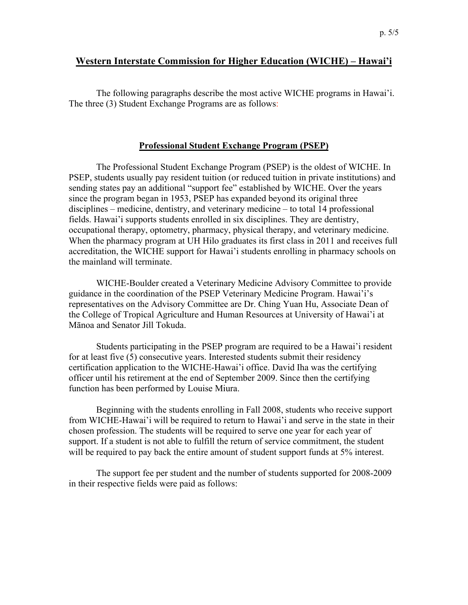# **Western Interstate Commission for Higher Education (WICHE) – Hawai'i**

The following paragraphs describe the most active WICHE programs in Hawai'i. The three (3) Student Exchange Programs are as follows:

#### **Professional Student Exchange Program (PSEP)**

The Professional Student Exchange Program (PSEP) is the oldest of WICHE. In PSEP, students usually pay resident tuition (or reduced tuition in private institutions) and sending states pay an additional "support fee" established by WICHE. Over the years since the program began in 1953, PSEP has expanded beyond its original three disciplines – medicine, dentistry, and veterinary medicine – to total 14 professional fields. Hawai'i supports students enrolled in six disciplines. They are dentistry, occupational therapy, optometry, pharmacy, physical therapy, and veterinary medicine. When the pharmacy program at UH Hilo graduates its first class in 2011 and receives full accreditation, the WICHE support for Hawai'i students enrolling in pharmacy schools on the mainland will terminate.

WICHE-Boulder created a Veterinary Medicine Advisory Committee to provide guidance in the coordination of the PSEP Veterinary Medicine Program. Hawai'i's representatives on the Advisory Committee are Dr. Ching Yuan Hu, Associate Dean of the College of Tropical Agriculture and Human Resources at University of Hawai'i at Mānoa and Senator Jill Tokuda.

Students participating in the PSEP program are required to be a Hawai'i resident for at least five (5) consecutive years. Interested students submit their residency certification application to the WICHE-Hawai'i office. David Iha was the certifying officer until his retirement at the end of September 2009. Since then the certifying function has been performed by Louise Miura.

Beginning with the students enrolling in Fall 2008, students who receive support from WICHE-Hawai'i will be required to return to Hawai'i and serve in the state in their chosen profession. The students will be required to serve one year for each year of support. If a student is not able to fulfill the return of service commitment, the student will be required to pay back the entire amount of student support funds at 5% interest.

The support fee per student and the number of students supported for 2008-2009 in their respective fields were paid as follows: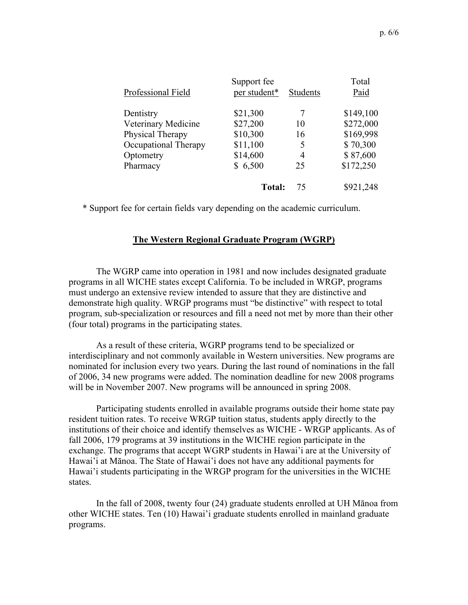| Support fee   |                 | Total     |
|---------------|-----------------|-----------|
| per student*  | <b>Students</b> | Paid      |
| \$21,300      |                 | \$149,100 |
| \$27,200      | 10              | \$272,000 |
| \$10,300      | 16              | \$169,998 |
| \$11,100      | 5               | \$70,300  |
| \$14,600      | 4               | \$87,600  |
| \$6,500       | 25              | \$172,250 |
| <b>Total:</b> | 75              | \$921,248 |
|               |                 |           |

\* Support fee for certain fields vary depending on the academic curriculum.

#### **The Western Regional Graduate Program (WGRP)**

The WGRP came into operation in 1981 and now includes designated graduate programs in all WICHE states except California. To be included in WRGP, programs must undergo an extensive review intended to assure that they are distinctive and demonstrate high quality. WRGP programs must "be distinctive" with respect to total program, sub-specialization or resources and fill a need not met by more than their other (four total) programs in the participating states.

As a result of these criteria, WGRP programs tend to be specialized or interdisciplinary and not commonly available in Western universities. New programs are nominated for inclusion every two years. During the last round of nominations in the fall of 2006, 34 new programs were added. The nomination deadline for new 2008 programs will be in November 2007. New programs will be announced in spring 2008.

Participating students enrolled in available programs outside their home state pay resident tuition rates. To receive WRGP tuition status, students apply directly to the institutions of their choice and identify themselves as WICHE - WRGP applicants. As of fall 2006, 179 programs at 39 institutions in the WICHE region participate in the exchange. The programs that accept WGRP students in Hawai'i are at the University of Hawai'i at Mānoa. The State of Hawai'i does not have any additional payments for Hawai'i students participating in the WRGP program for the universities in the WICHE states.

In the fall of 2008, twenty four (24) graduate students enrolled at UH Mānoa from other WICHE states. Ten (10) Hawai'i graduate students enrolled in mainland graduate programs.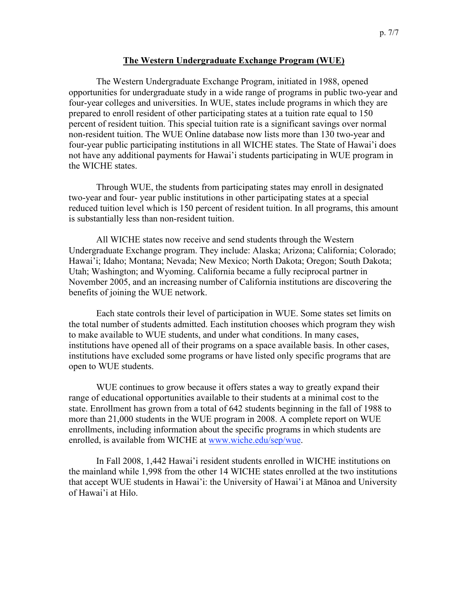#### **The Western Undergraduate Exchange Program (WUE)**

The Western Undergraduate Exchange Program, initiated in 1988, opened opportunities for undergraduate study in a wide range of programs in public two-year and four-year colleges and universities. In WUE, states include programs in which they are prepared to enroll resident of other participating states at a tuition rate equal to 150 percent of resident tuition. This special tuition rate is a significant savings over normal non-resident tuition. The WUE Online database now lists more than 130 two-year and four-year public participating institutions in all WICHE states. The State of Hawai'i does not have any additional payments for Hawai'i students participating in WUE program in the WICHE states.

Through WUE, the students from participating states may enroll in designated two-year and four- year public institutions in other participating states at a special reduced tuition level which is 150 percent of resident tuition. In all programs, this amount is substantially less than non-resident tuition.

All WICHE states now receive and send students through the Western Undergraduate Exchange program. They include: Alaska; Arizona; California; Colorado; Hawai'i; Idaho; Montana; Nevada; New Mexico; North Dakota; Oregon; South Dakota; Utah; Washington; and Wyoming. California became a fully reciprocal partner in November 2005, and an increasing number of California institutions are discovering the benefits of joining the WUE network.

Each state controls their level of participation in WUE. Some states set limits on the total number of students admitted. Each institution chooses which program they wish to make available to WUE students, and under what conditions. In many cases, institutions have opened all of their programs on a space available basis. In other cases, institutions have excluded some programs or have listed only specific programs that are open to WUE students.

WUE continues to grow because it offers states a way to greatly expand their range of educational opportunities available to their students at a minimal cost to the state. Enrollment has grown from a total of 642 students beginning in the fall of 1988 to more than 21,000 students in the WUE program in 2008. A complete report on WUE enrollments, including information about the specific programs in which students are enrolled, is available from WICHE at www.wiche.edu/sep/wue.

In Fall 2008, 1,442 Hawai'i resident students enrolled in WICHE institutions on the mainland while 1,998 from the other 14 WICHE states enrolled at the two institutions that accept WUE students in Hawai'i: the University of Hawai'i at Mānoa and University of Hawai'i at Hilo.